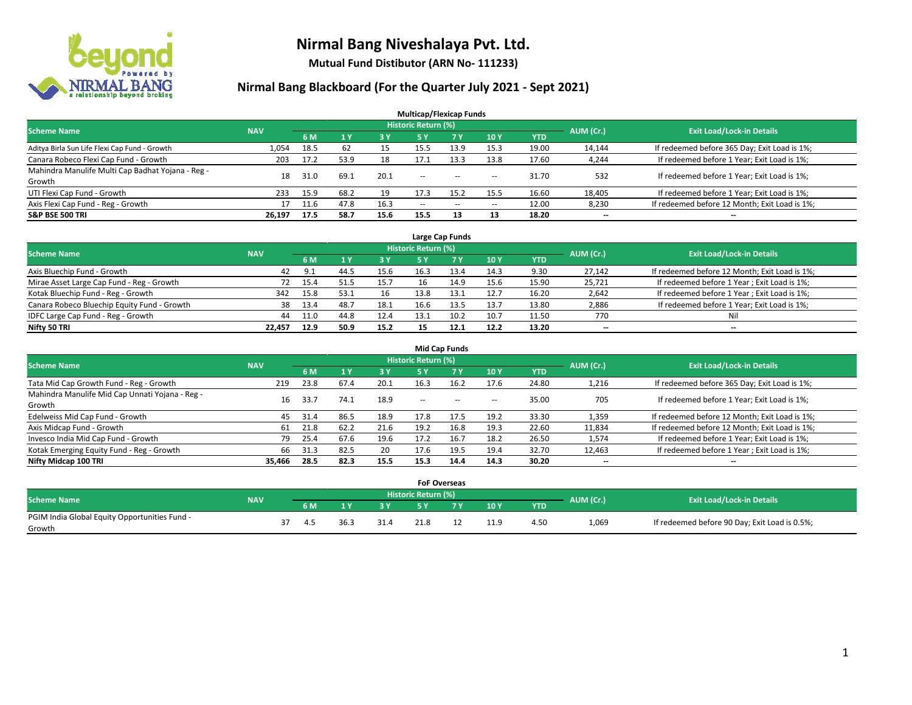

**Mutual Fund Distibutor (ARN No- 111233)**

### **Nirmal Bang Blackboard (For the Quarter July 2021 - Sept 2021)**

| <b>Multicap/Flexicap Funds</b>                    |            |      |           |           |                            |            |            |            |           |                                               |  |  |  |
|---------------------------------------------------|------------|------|-----------|-----------|----------------------------|------------|------------|------------|-----------|-----------------------------------------------|--|--|--|
| <b>Scheme Name</b>                                | <b>NAV</b> |      |           |           | <b>Historic Return (%)</b> |            |            |            | AUM (Cr.) | <b>Exit Load/Lock-in Details</b>              |  |  |  |
|                                                   |            | 6 M  | <b>1Y</b> | <b>3Y</b> | 5 Y                        | <b>7 Y</b> | <b>10Y</b> | <b>YTD</b> |           |                                               |  |  |  |
| Aditya Birla Sun Life Flexi Cap Fund - Growth     | 1,054      | 18.5 | 62        | 15        | 15.5                       | 13.9       | 15.3       | 19.00      | 14,144    | If redeemed before 365 Day; Exit Load is 1%;  |  |  |  |
| Canara Robeco Flexi Cap Fund - Growth             | 203        | 17.2 | 53.9      | 18        | 17.1                       | 13.3       | 13.8       | 17.60      | 4,244     | If redeemed before 1 Year; Exit Load is 1%;   |  |  |  |
| Mahindra Manulife Multi Cap Badhat Yojana - Reg - | 18         | 31.0 | 69.1      | 20.1      | $\overline{\phantom{a}}$   |            |            | 31.70      | 532       | If redeemed before 1 Year; Exit Load is 1%;   |  |  |  |
| Growth                                            |            |      |           |           |                            | $- -$      | $- -$      |            |           |                                               |  |  |  |
| UTI Flexi Cap Fund - Growth                       | 233        | 15.9 | 68.2      | 19        | 17.3                       | 15.2       | 15.5       | 16.60      | 18,405    | If redeemed before 1 Year; Exit Load is 1%;   |  |  |  |
| Axis Flexi Cap Fund - Reg - Growth                |            | 11.6 | 47.8      | 16.3      | $\overline{\phantom{a}}$   | $\sim$     | --         | 12.00      | 8,230     | If redeemed before 12 Month; Exit Load is 1%; |  |  |  |
| <b>S&amp;P BSE 500 TRI</b>                        | 26,197     | 17.5 | 58.7      | 15.6      | 15.5                       | 13         | 13         | 18.20      | --        | $\overline{\phantom{a}}$                      |  |  |  |

| Large Cap Funds                             |            |      |      |      |                            |      |      |            |           |                                               |  |  |  |
|---------------------------------------------|------------|------|------|------|----------------------------|------|------|------------|-----------|-----------------------------------------------|--|--|--|
| <b>Scheme Name</b>                          | <b>NAV</b> |      |      |      | <b>Historic Return (%)</b> |      |      |            | AUM (Cr.) | <b>Exit Load/Lock-in Details</b>              |  |  |  |
|                                             |            | 6 M  |      | 3 Y  |                            | 7 Y  | 10Y  | <b>YTD</b> |           |                                               |  |  |  |
| Axis Bluechip Fund - Growth                 | 42         | 9.1  | 44.5 | 15.6 | 16.3                       | 13.4 | 14.3 | 9.30       | 27,142    | If redeemed before 12 Month; Exit Load is 1%; |  |  |  |
| Mirae Asset Large Cap Fund - Reg - Growth   | 72         | 15.4 | 51.5 | 15.7 | 16                         | 14.9 | 15.6 | 15.90      | 25,721    | If redeemed before 1 Year; Exit Load is 1%;   |  |  |  |
| Kotak Bluechip Fund - Reg - Growth          | 342        | 15.8 | 53.1 | 16   | 13.8                       | 13.1 | 12.7 | 16.20      | 2,642     | If redeemed before 1 Year; Exit Load is 1%;   |  |  |  |
| Canara Robeco Bluechip Equity Fund - Growth | 38         | 13.4 | 48.7 | 18.1 | 16.6                       | 13.5 | 13.7 | 13.80      | 2,886     | If redeemed before 1 Year; Exit Load is 1%;   |  |  |  |
| IDFC Large Cap Fund - Reg - Growth          | 44         | 11.0 | 44.8 | 12.4 | 13.1                       | 10.2 | 10.7 | 11.50      | 770       | Ni                                            |  |  |  |
| Nifty 50 TRI                                | 22.457     | 12.9 | 50.9 | 15.2 |                            | 12.1 | 12.2 | 13.20      | $- -$     | $\overline{\phantom{a}}$                      |  |  |  |

| <b>Mid Cap Funds</b>                                      |            |      |      |      |                     |           |        |       |                          |                                               |  |  |  |
|-----------------------------------------------------------|------------|------|------|------|---------------------|-----------|--------|-------|--------------------------|-----------------------------------------------|--|--|--|
| <b>Scheme Name</b>                                        | <b>NAV</b> |      |      |      | Historic Return (%) |           |        |       | AUM (Cr.)                | <b>Exit Load/Lock-in Details</b>              |  |  |  |
|                                                           |            | 6 M  |      | 3 Y  | 5 Y                 | <b>7Y</b> | 10Y    | YTD   |                          |                                               |  |  |  |
| Tata Mid Cap Growth Fund - Reg - Growth                   | 219        | 23.8 | 67.4 | 20.1 | 16.3                | 16.2      | 17.6   | 24.80 | 1,216                    | If redeemed before 365 Day; Exit Load is 1%;  |  |  |  |
| Mahindra Manulife Mid Cap Unnati Yojana - Reg -<br>Growth | 16         | 33.7 | 74.1 | 18.9 | $\sim$              | $\sim$    | $\sim$ | 35.00 | 705                      | If redeemed before 1 Year; Exit Load is 1%;   |  |  |  |
| Edelweiss Mid Cap Fund - Growth                           | 45         | 31.4 | 86.5 | 18.9 | 17.8                | 17.5      | 19.2   | 33.30 | 1,359                    | If redeemed before 12 Month; Exit Load is 1%; |  |  |  |
| Axis Midcap Fund - Growth                                 | 61         | 21.8 | 62.2 | 21.6 | 19.2                | 16.8      | 19.3   | 22.60 | 11,834                   | If redeemed before 12 Month; Exit Load is 1%; |  |  |  |
| Invesco India Mid Cap Fund - Growth                       | 79         | 25.4 | 67.6 | 19.6 | 17.2                | 16.7      | 18.2   | 26.50 | 1,574                    | If redeemed before 1 Year; Exit Load is 1%;   |  |  |  |
| Kotak Emerging Equity Fund - Reg - Growth                 | 66         | 31.3 | 82.5 | 20   | 17.6                | 19.5      | 19.4   | 32.70 | 12,463                   | If redeemed before 1 Year; Exit Load is 1%;   |  |  |  |
| Nifty Midcap 100 TRI                                      | 35.466     | 28.5 | 82.3 | 15.5 | 15.3                | 14.4      | 14.3   | 30.20 | $\overline{\phantom{a}}$ | $\overline{\phantom{a}}$                      |  |  |  |

|                                               |            |     |      |      |                     | <b>FoF Overseas</b> |      |            |           |                                               |
|-----------------------------------------------|------------|-----|------|------|---------------------|---------------------|------|------------|-----------|-----------------------------------------------|
| <b>Scheme Name</b>                            | <b>NAV</b> |     |      |      | Historic Return (%) |                     |      |            | AUM (Cr.) | <b>Exit Load/Lock-in Details</b>              |
|                                               |            | 6 M |      | 2V   |                     | 7 V                 | 10Y  | <b>YTD</b> |           |                                               |
| PGIM India Global Equity Opportunities Fund - |            | 4.5 | ذ.36 | 31.4 |                     |                     | 11.9 | 4.50       | 1,069     | If redeemed before 90 Day; Exit Load is 0.5%; |
| Growth                                        |            |     |      |      |                     |                     |      |            |           |                                               |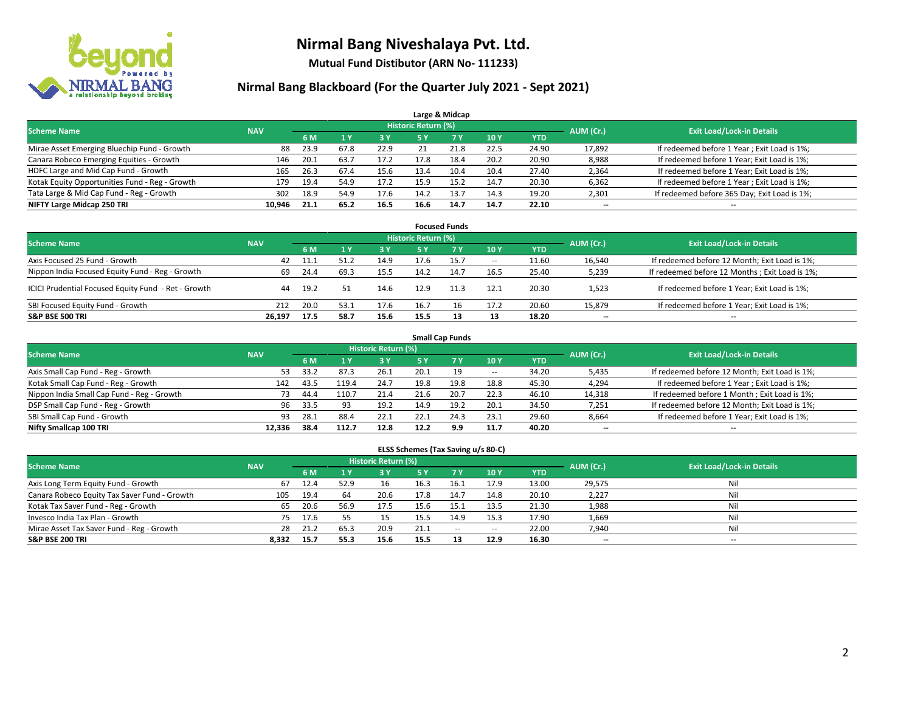

**Mutual Fund Distibutor (ARN No- 111233)**

### **Nirmal Bang Blackboard (For the Quarter July 2021 - Sept 2021)**

|                                                |            |                                  |      |            |            | Large & Midcap |      |            |        |                                              |
|------------------------------------------------|------------|----------------------------------|------|------------|------------|----------------|------|------------|--------|----------------------------------------------|
| <b>Scheme Name</b>                             | AUM (Cr.)  | <b>Exit Load/Lock-in Details</b> |      |            |            |                |      |            |        |                                              |
|                                                | <b>NAV</b> | 6 M                              |      | <b>3 Y</b> | <b>5 Y</b> | <b>7 Y</b>     | 10Y  | <b>YTD</b> |        |                                              |
| Mirae Asset Emerging Bluechip Fund - Growth    | 88         | 23.9                             | 67.8 | 22.9       |            |                | 22.5 | 24.90      | 17,892 | If redeemed before 1 Year; Exit Load is 1%;  |
| Canara Robeco Emerging Equities - Growth       | 146        | 20.1                             | 63.7 | 17.2       | 17.8       | 18.4           | 20.2 | 20.90      | 8,988  | If redeemed before 1 Year; Exit Load is 1%;  |
| HDFC Large and Mid Cap Fund - Growth           | 165        | 26.3                             | 67.4 | 15.6       | 13.4       | 10.4           | 10.4 | 27.40      | 2,364  | If redeemed before 1 Year; Exit Load is 1%;  |
| Kotak Equity Opportunities Fund - Reg - Growth | 179        | 19.4                             | 54.9 | 17.2       | 15.9       | 15.2           | 14.7 | 20.30      | 6,362  | If redeemed before 1 Year; Exit Load is 1%;  |
| Tata Large & Mid Cap Fund - Reg - Growth       | 302        | 18.9                             | 54.9 | 17.6       | 14.2       | 13.7           | 14.3 | 19.20      | 2,301  | If redeemed before 365 Day; Exit Load is 1%; |
| NIFTY Large Midcap 250 TRI                     | 10.946     | 21.1                             | 65.2 | 16.5       | 16.6       | 14.7           | 14.7 | 22.10      | $- -$  | $\overline{\phantom{a}}$                     |

| <b>Focused Funds</b>                                |            |      |      |      |                     |           |                          |       |                          |                                                 |  |  |  |
|-----------------------------------------------------|------------|------|------|------|---------------------|-----------|--------------------------|-------|--------------------------|-------------------------------------------------|--|--|--|
| <b>Scheme Name</b>                                  | <b>NAV</b> |      |      |      | Historic Return (%) |           |                          |       | AUM (Cr.)                | <b>Exit Load/Lock-in Details</b>                |  |  |  |
|                                                     |            | 6 M  |      | 3 Y  | 5 Y                 | <b>7Y</b> | 10Y                      | YTD   |                          |                                                 |  |  |  |
| Axis Focused 25 Fund - Growth                       | 42         | 11.1 | 51.7 | 14.9 | 17.6                | 15.7      | $\overline{\phantom{a}}$ | 11.60 | 16,540                   | If redeemed before 12 Month; Exit Load is 1%;   |  |  |  |
| Nippon India Focused Equity Fund - Reg - Growth     | 69         | 24.4 | 69.3 | 15.5 | 14.2                | 14.7      | 16.5                     | 25.40 | 5,239                    | If redeemed before 12 Months ; Exit Load is 1%; |  |  |  |
| ICICI Prudential Focused Equity Fund - Ret - Growth | 44         | 19.2 |      | 14.6 | 12.9                | 11.3      | 12.1                     | 20.30 | 1,523                    | If redeemed before 1 Year; Exit Load is 1%;     |  |  |  |
| SBI Focused Equity Fund - Growth                    | 212        | 20.0 | 53.1 | 17.6 | 16.7                | 16        | 17.2                     | 20.60 | 15,879                   | If redeemed before 1 Year; Exit Load is 1%;     |  |  |  |
| <b>S&amp;P BSE 500 TRI</b>                          | 26.197     | 17.5 | 58.7 | 15.6 | 15.5                |           | 13                       | 18.20 | $\overline{\phantom{a}}$ | --                                              |  |  |  |

| <b>Small Cap Funds</b>                     |            |           |                                  |      |      |           |            |            |        |                                               |  |  |  |
|--------------------------------------------|------------|-----------|----------------------------------|------|------|-----------|------------|------------|--------|-----------------------------------------------|--|--|--|
| <b>Scheme Name</b>                         | <b>NAV</b> | AUM (Cr.) | <b>Exit Load/Lock-in Details</b> |      |      |           |            |            |        |                                               |  |  |  |
|                                            |            | 6 M       |                                  | 3 Y  | 5 Y  | <b>7Y</b> | <b>10Y</b> | <b>YTD</b> |        |                                               |  |  |  |
| Axis Small Cap Fund - Reg - Growth         | 53         | 33.2      | 87.3                             | 26.1 | 20.1 | 19        | $\sim$     | 34.20      | 5,435  | If redeemed before 12 Month; Exit Load is 1%; |  |  |  |
| Kotak Small Cap Fund - Reg - Growth        | 142        | 43.5      | 119.4                            | 24.7 | 19.8 | 19.8      | 18.8       | 45.30      | 4,294  | If redeemed before 1 Year; Exit Load is 1%;   |  |  |  |
| Nippon India Small Cap Fund - Reg - Growth | 73         | 44.4      | 110.7                            | 21.4 | 21.6 | 20.7      | 22.3       | 46.10      | 14,318 | If redeemed before 1 Month; Exit Load is 1%;  |  |  |  |
| DSP Small Cap Fund - Reg - Growth          | 96         | 33.5      | 93                               | 19.2 | 14.9 | 19.2      | 20.1       | 34.50      | 7,251  | If redeemed before 12 Month; Exit Load is 1%; |  |  |  |
| SBI Small Cap Fund - Growth                | 93         | 28.1      | 88.4                             | 22.1 | 22.1 | 24.3      | 23.1       | 29.60      | 8,664  | If redeemed before 1 Year; Exit Load is 1%;   |  |  |  |
| Nifty Smallcap 100 TRI                     | 12.336     | 38.4      | 112.7                            | 12.8 | 12.2 | 9.9       | 11.7       | 40.20      | --     | $\overline{\phantom{a}}$                      |  |  |  |

#### **ELSS Schemes (Tax Saving u/s 80-C)**

| <b>Scheme Name</b>                           | <b>NAV</b> |      |      | Historic Return (%) |           |      |                          |            | AUM (Cr.) | <b>Exit Load/Lock-in Details</b> |
|----------------------------------------------|------------|------|------|---------------------|-----------|------|--------------------------|------------|-----------|----------------------------------|
|                                              |            | 6 M  |      | 73 Y.               | <b>5Y</b> | 7Y   | <b>10Y</b>               | <b>YTD</b> |           |                                  |
| Axis Long Term Equity Fund - Growth          | 67         | 12.4 | 52.9 | 16                  | 16.3      | 16.1 | 17.9                     | 13.00      | 29,575    | Nil                              |
| Canara Robeco Equity Tax Saver Fund - Growth | 105        | 19.4 | 64   | 20.6                | 17.8      | 14.7 | 14.8                     | 20.10      | 2,227     | Nil                              |
| Kotak Tax Saver Fund - Reg - Growth          | 65         | 20.6 | 56.9 | 17.5                | 15.6      | 15.1 | 13.5                     | 21.30      | 1,988     | Nil                              |
| Invesco India Tax Plan - Growth              | 75         | 17.6 |      | 15                  | 15.5      | 14.9 | 15.3                     | 17.90      | 1,669     | Nil                              |
| Mirae Asset Tax Saver Fund - Reg - Growth    | 28         | 21.2 | 65.3 | 20.9                | 21.1      | $-$  | $\overline{\phantom{a}}$ | 22.00      | 7,940     | Nil                              |
| <b>S&amp;P BSE 200 TRI</b>                   | 8,332      | 15.7 | 55.3 | 15.6                | 15.5      | 13   | 12.9                     | 16.30      | $- -$     | --                               |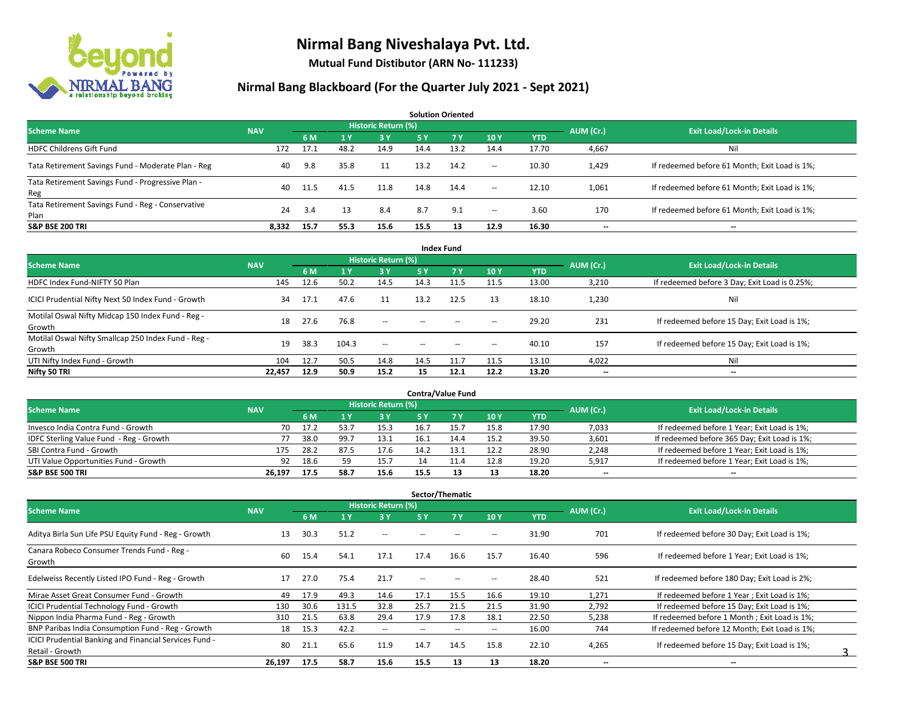

**Mutual Fund Distibutor (ARN No- 111233)**

#### **Nirmal Bang Blackboard (For the Quarter July 2021 - Sept 2021)**

**6 M 1 Y 3 Y 5 Y 7 Y 10 Y YTD** HDFC Childrens Gift Fund **172 17.1 48.2** 14.9 14.4 13.2 14.4 17.70 4,667 Nil Tata Retirement Savings Fund - Moderate Plan - Reg and August 200 40 9.8 35.8 11 13.2 14.2 - 10.30 1,429 If redeemed before 61 Month; Exit Load is 1%; Tata Retirement Savings Fund - Progressive Plan - Reg 40 11.5 41.5 11.8 14.8 14.4 -- 12.10 1,061 If redeemed before 61 Month; Exit Load is 1%; Tata Retirement Savings Fund - Reg - Conservative Plan 24 3.4 <sup>13</sup> 8.4 8.7 9.1 -- 3.60 170 If redeemed before 61 Month; Exit Load is 1%; **S&P BSE 200 TRI 8,332 15.7 55.3 15.6 15.5 13 12.9 16.30 -- -- Solution Oriented Scheme Name** NAV **Return (%) Historic Return (%) Historic Return (%) AUM (Cr.)** Exit Load/Lock-in Details

| <b>Index Fund</b>                                             |            |      |                |                            |            |            |                          |            |                          |                                               |  |  |  |  |
|---------------------------------------------------------------|------------|------|----------------|----------------------------|------------|------------|--------------------------|------------|--------------------------|-----------------------------------------------|--|--|--|--|
| <b>Scheme Name</b>                                            | <b>NAV</b> |      |                | <b>Historic Return (%)</b> |            |            |                          |            | AUM (Cr.)                | <b>Exit Load/Lock-in Details</b>              |  |  |  |  |
|                                                               |            | 6 M  | 1 <sup>1</sup> | 3V                         | <b>5 Y</b> | <b>7 Y</b> | 10Y                      | <b>YTD</b> |                          |                                               |  |  |  |  |
| HDFC Index Fund-NIFTY 50 Plan                                 | 145        | 12.6 | 50.2           | 14.5                       | 14.3       | 11.5       | 11.5                     | 13.00      | 3,210                    | If redeemed before 3 Day; Exit Load is 0.25%; |  |  |  |  |
| ICICI Prudential Nifty Next 50 Index Fund - Growth            | 34         | 17.1 | 47.6           | 11                         | 13.2       | 12.5       | 13                       | 18.10      | 1,230                    | Nil                                           |  |  |  |  |
| Motilal Oswal Nifty Midcap 150 Index Fund - Reg -<br>Growth   | 18         | 27.6 | 76.8           | $\sim$                     | $\sim$     | $\sim$     | $\overline{\phantom{a}}$ | 29.20      | 231                      | If redeemed before 15 Day; Exit Load is 1%;   |  |  |  |  |
| Motilal Oswal Nifty Smallcap 250 Index Fund - Reg -<br>Growth | 19         | 38.3 | 104.3          | $\sim$                     | $\sim$     | $\sim$     | $\overline{\phantom{a}}$ | 40.10      | 157                      | If redeemed before 15 Day; Exit Load is 1%;   |  |  |  |  |
| UTI Nifty Index Fund - Growth                                 | 104        | 12.7 | 50.5           | 14.8                       | 14.5       | 11.7       | 11.5                     | 13.10      | 4,022                    | Nil                                           |  |  |  |  |
| Nifty 50 TRI                                                  | 22,457     | 12.9 | 50.9           | 15.2                       | 15         | 12.1       | 12.2                     | 13.20      | $\overline{\phantom{a}}$ | $\overline{\phantom{a}}$                      |  |  |  |  |

| <b>Contra/Value Fund</b>                |            |      |      |                     |      |      |      |       |                          |                                              |  |  |  |
|-----------------------------------------|------------|------|------|---------------------|------|------|------|-------|--------------------------|----------------------------------------------|--|--|--|
| <b>Scheme Name</b>                      | <b>NAV</b> |      |      | Historic Return (%) |      |      |      |       | AUM (Cr.)                | <b>Exit Load/Lock-in Details</b>             |  |  |  |
|                                         |            | 6 M  |      | 3 Y                 |      |      | 10Y  | YTD   |                          |                                              |  |  |  |
| Invesco India Contra Fund - Growth      | 70         | 17.2 |      | 15.3                | 16.7 |      | 15.8 | 17.90 | 7,033                    | If redeemed before 1 Year; Exit Load is 1%;  |  |  |  |
| IDFC Sterling Value Fund - Reg - Growth |            | 38.0 | 99.  | 13.1                | 16.1 |      | 15.2 | 39.50 | 3,601                    | If redeemed before 365 Day; Exit Load is 1%; |  |  |  |
| SBI Contra Fund - Growth                | 175        | 28.2 | 87.5 | 17.6                | 14.2 | 13.1 | 12.2 | 28.90 | 2,248                    | If redeemed before 1 Year; Exit Load is 1%;  |  |  |  |
| UTI Value Opportunities Fund - Growth   | 92         | 18.6 | 59   | 15.7                | 14   |      | 12.8 | 19.20 | 5,917                    | If redeemed before 1 Year; Exit Load is 1%;  |  |  |  |
| <b>S&amp;P BSE 500 TRI</b>              | 26,197     | 17.5 | 58.7 | 15.6                | 15.5 | 13   | 13   | 18.20 | $\overline{\phantom{a}}$ | $-$                                          |  |  |  |

| Sector/Thematic                                                           |            |      |       |                            |      |      |      |            |           |                                               |  |  |  |
|---------------------------------------------------------------------------|------------|------|-------|----------------------------|------|------|------|------------|-----------|-----------------------------------------------|--|--|--|
| <b>Scheme Name</b>                                                        | <b>NAV</b> |      |       | <b>Historic Return (%)</b> |      |      |      |            | AUM (Cr.) | <b>Exit Load/Lock-in Details</b>              |  |  |  |
|                                                                           |            | 6 M  | 1 Y   | 3 Y                        | 5 Y  | 7Y   | 10Y  | <b>YTD</b> |           |                                               |  |  |  |
| Aditya Birla Sun Life PSU Equity Fund - Reg - Growth                      | 13         | 30.3 | 51.2  | $\sim$                     |      |      | --   | 31.90      | 701       | If redeemed before 30 Day; Exit Load is 1%;   |  |  |  |
| Canara Robeco Consumer Trends Fund - Reg -<br>Growth                      | 60         | 15.4 | 54.1  | 17.1                       | 17.4 | 16.6 | 15.7 | 16.40      | 596       | If redeemed before 1 Year; Exit Load is 1%;   |  |  |  |
| Edelweiss Recently Listed IPO Fund - Reg - Growth                         | 17         | 27.0 | 75.4  | 21.7                       | --   |      |      | 28.40      | 521       | If redeemed before 180 Day; Exit Load is 2%;  |  |  |  |
| Mirae Asset Great Consumer Fund - Growth                                  | 49         | 17.9 | 49.3  | 14.6                       | 17.1 | 15.5 | 16.6 | 19.10      | 1,271     | If redeemed before 1 Year; Exit Load is 1%;   |  |  |  |
| <b>ICICI Prudential Technology Fund - Growth</b>                          | 130        | 30.6 | 131.5 | 32.8                       | 25.7 | 21.5 | 21.5 | 31.90      | 2,792     | If redeemed before 15 Day; Exit Load is 1%;   |  |  |  |
| Nippon India Pharma Fund - Reg - Growth                                   | 310        | 21.5 | 63.8  | 29.4                       | 17.9 | 17.8 | 18.1 | 22.50      | 5,238     | If redeemed before 1 Month; Exit Load is 1%;  |  |  |  |
| BNP Paribas India Consumption Fund - Reg - Growth                         | 18         | 15.3 | 42.2  | $\sim$                     |      | --   | --   | 16.00      | 744       | If redeemed before 12 Month; Exit Load is 1%; |  |  |  |
| ICICI Prudential Banking and Financial Services Fund -<br>Retail - Growth | 80         | 21.1 | 65.6  | 11.9                       | 14.7 | 14.5 | 15.8 | 22.10      | 4,265     | If redeemed before 15 Day; Exit Load is 1%;   |  |  |  |
| <b>S&amp;P BSE 500 TRI</b>                                                | 26.197     | 17.5 | 58.7  | 15.6                       | 15.5 | 13   | 13   | 18.20      | --        | --                                            |  |  |  |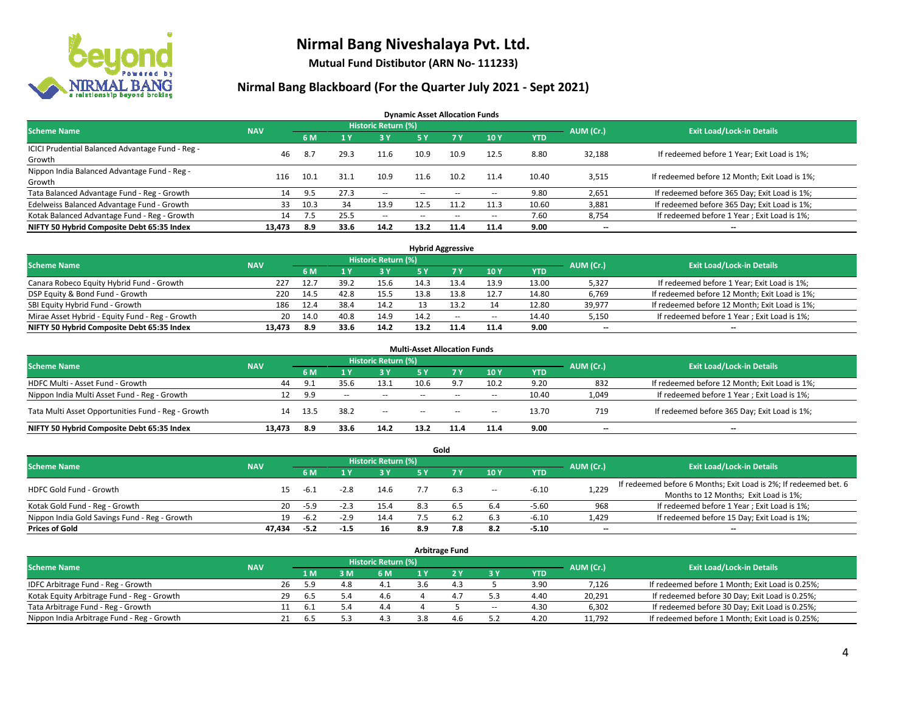

**Mutual Fund Distibutor (ARN No- 111233)**

#### **Nirmal Bang Blackboard (For the Quarter July 2021 - Sept 2021)**

**Dynamic Asset Allocation Funds**

| <b>Scheme Name</b>                                         | <b>NAV</b> |      |      | Historic Return (%) |      |                          |       |       | AUM (Cr.)                | <b>Exit Load/Lock-in Details</b>              |
|------------------------------------------------------------|------------|------|------|---------------------|------|--------------------------|-------|-------|--------------------------|-----------------------------------------------|
|                                                            |            | 6 M  |      | <b>3Y</b>           | 5 Y  | <b>7Y</b>                | 10Y   | YTD   |                          |                                               |
| ICICI Prudential Balanced Advantage Fund - Reg -<br>Growth | 46         | 8.7  | 29.3 | 11.6                | 10.9 | 10.9                     | 12.5  | 8.80  | 32,188                   | If redeemed before 1 Year; Exit Load is 1%;   |
| Nippon India Balanced Advantage Fund - Reg -<br>Growth     | 116        | 10.1 | 31.1 | 10.9                | 11.6 | 10.2                     | 11.4  | 10.40 | 3,515                    | If redeemed before 12 Month; Exit Load is 1%; |
| Tata Balanced Advantage Fund - Reg - Growth                | 14         | 9.5  | 27.3 | $\sim$              | $-$  | $\overline{\phantom{a}}$ | $\!-$ | 9.80  | 2,651                    | If redeemed before 365 Day; Exit Load is 1%;  |
| Edelweiss Balanced Advantage Fund - Growth                 | 33         | 10.3 | 34   | 13.9                | 12.5 | 11.2                     | 11.3  | 10.60 | 3,881                    | If redeemed before 365 Day; Exit Load is 1%;  |
| Kotak Balanced Advantage Fund - Reg - Growth               | 14         | 7.5  | 25.5 | $\sim$              | $-$  | $\overline{\phantom{a}}$ | $\!-$ | 7.60  | 8,754                    | If redeemed before 1 Year; Exit Load is 1%;   |
| NIFTY 50 Hybrid Composite Debt 65:35 Index                 | 13,473     | 8.9  | 33.6 | 14.2                | 13.2 | 11.4                     | 11.4  | 9.00  | $\overline{\phantom{a}}$ | --                                            |

| <b>Hybrid Aggressive</b>                        |            |            |      |                            |      |        |        |            |           |                                               |  |  |  |
|-------------------------------------------------|------------|------------|------|----------------------------|------|--------|--------|------------|-----------|-----------------------------------------------|--|--|--|
| <b>Scheme Name</b>                              | <b>NAV</b> |            |      | <b>Historic Return (%)</b> |      |        |        |            | AUM (Cr.) | <b>Exit Load/Lock-in Details</b>              |  |  |  |
|                                                 |            | 6 M        |      | 3 Y                        |      |        | 10Y    | <b>YTD</b> |           |                                               |  |  |  |
| Canara Robeco Equity Hybrid Fund - Growth       | 227        | 12.7       | 39.2 | 15.6                       | 14.3 | 13.4   | 13.9   | 13.00      | 5,327     | If redeemed before 1 Year; Exit Load is 1%;   |  |  |  |
| DSP Equity & Bond Fund - Growth                 | 220        | 14.5       | 42.8 | 15.5                       | 13.8 | 13.8   | 12.7   | 14.80      | 6,769     | If redeemed before 12 Month; Exit Load is 1%; |  |  |  |
| SBI Equity Hybrid Fund - Growth                 | 186        | 12.4       | 38.4 | 14.2                       |      |        | 14     | 12.80      | 39,977    | If redeemed before 12 Month; Exit Load is 1%; |  |  |  |
| Mirae Asset Hybrid - Equity Fund - Reg - Growth |            | 20<br>14.0 | 40.8 | 14.9                       | 14.2 | $\sim$ | $\sim$ | 14.40      | 5,150     | If redeemed before 1 Year; Exit Load is 1%;   |  |  |  |
| NIFTY 50 Hybrid Composite Debt 65:35 Index      | 13.473     | 8.9        | 33.6 | 14.2                       | 13.2 | 11.4   | 11.4   | 9.00       | $- -$     | $- -$                                         |  |  |  |

|                                                    |            |      |              |                            | <b>Multi-Asset Allocation Funds</b> |            |       |            |                          |                                               |
|----------------------------------------------------|------------|------|--------------|----------------------------|-------------------------------------|------------|-------|------------|--------------------------|-----------------------------------------------|
| <b>Scheme Name</b>                                 | <b>NAV</b> |      |              | <b>Historic Return (%)</b> |                                     |            |       |            | AUM (Cr.)                | <b>Exit Load/Lock-in Details</b>              |
|                                                    |            | 6 M  |              | 3V                         | 5 Y                                 | <b>7 V</b> | 10Y   | <b>YTD</b> |                          |                                               |
| HDFC Multi - Asset Fund - Growth                   | 44         | 9.1  | 35.6         | 13.1                       | 10.6                                |            | 10.2  | 9.20       | 832                      | If redeemed before 12 Month; Exit Load is 1%; |
| Nippon India Multi Asset Fund - Reg - Growth       | 12         | 9.9  | <b>COLUM</b> | $\sim$                     | $-$                                 | $\sim$     | $\!-$ | 10.40      | 1,049                    | If redeemed before 1 Year; Exit Load is 1%;   |
| Tata Multi Asset Opportunities Fund - Reg - Growth | 14         | 13.5 | 38.2         | $\sim$                     | $-$                                 | $\sim$     | --    | 13.70      | 719                      | If redeemed before 365 Day; Exit Load is 1%;  |
| NIFTY 50 Hybrid Composite Debt 65:35 Index         | 13.473     | 8.9  | 33.6         | 14.2                       | 13.2                                |            | 11.4  | 9.00       | $\overline{\phantom{a}}$ | --                                            |

|                                               |            |        |        |                            |     | Gold |        |            |           |                                                                  |
|-----------------------------------------------|------------|--------|--------|----------------------------|-----|------|--------|------------|-----------|------------------------------------------------------------------|
| <b>Scheme Name</b>                            | <b>NAV</b> |        |        | <b>Historic Return (%)</b> |     |      |        |            | AUM (Cr.) | <b>Exit Load/Lock-in Details</b>                                 |
|                                               |            | 6 M    |        | <b>3 Y</b>                 | 5 Y |      | 10Y    | <b>YTD</b> |           |                                                                  |
| HDFC Gold Fund - Growth                       |            | $-6.1$ | $-2.8$ | 14.6                       |     | 6.3  |        | $-6.10$    |           | If redeemed before 6 Months; Exit Load is 2%; If redeemed bet. 6 |
|                                               | 15         |        |        |                            |     |      | $\sim$ |            | 1,229     | Months to 12 Months; Exit Load is 1%;                            |
| Kotak Gold Fund - Reg - Growth                | 20         | -5.9   | $-2.3$ | 15.4                       |     |      | 6.4    | $-5.60$    | 968       | If redeemed before 1 Year; Exit Load is 1%;                      |
| Nippon India Gold Savings Fund - Reg - Growth | 19         | $-6.2$ | $-2.9$ | 14.4                       |     | -6.2 | 6.3    | $-6.10$    | 1,429     | If redeemed before 15 Day; Exit Load is 1%;                      |
| <b>Prices of Gold</b>                         | 47.434     | $-5.2$ | -1.5   | 16                         | 8.9 | 7.8  | 8.2    | $-5.10$    | $- -$     | $\overline{\phantom{a}}$                                         |

| <b>Arbitrage Fund</b>                      |            |           |                                  |       |     |  |              |        |            |        |                                                 |  |  |
|--------------------------------------------|------------|-----------|----------------------------------|-------|-----|--|--------------|--------|------------|--------|-------------------------------------------------|--|--|
| <b>Scheme Name</b>                         | <b>NAV</b> | AUM (Cr.) | <b>Exit Load/Lock-in Details</b> |       |     |  |              |        |            |        |                                                 |  |  |
|                                            |            |           | 1 M                              | $-3M$ | 6 M |  |              | 3 Y    | <b>YTD</b> |        |                                                 |  |  |
| IDFC Arbitrage Fund - Reg - Growth         |            | 26        | 5.9                              | 4.8   | 4.1 |  | $\mathbf{4}$ |        | 3.90       | 7,126  | If redeemed before 1 Month; Exit Load is 0.25%; |  |  |
| Kotak Equity Arbitrage Fund - Reg - Growth |            | 29        | . ნ. 5                           |       | 4.6 |  | 4.1          |        | 4.40       | 20,291 | If redeemed before 30 Day; Exit Load is 0.25%;  |  |  |
| Tata Arbitrage Fund - Reg - Growth         |            | 11        | 6.1                              | 54    | 4.4 |  |              | $\sim$ | 4.30       | 6,302  | If redeemed before 30 Day; Exit Load is 0.25%;  |  |  |
| Nippon India Arbitrage Fund - Reg - Growth |            | 21        | b.5                              |       | 4.3 |  |              |        | 4.20       | 11,792 | If redeemed before 1 Month; Exit Load is 0.25%; |  |  |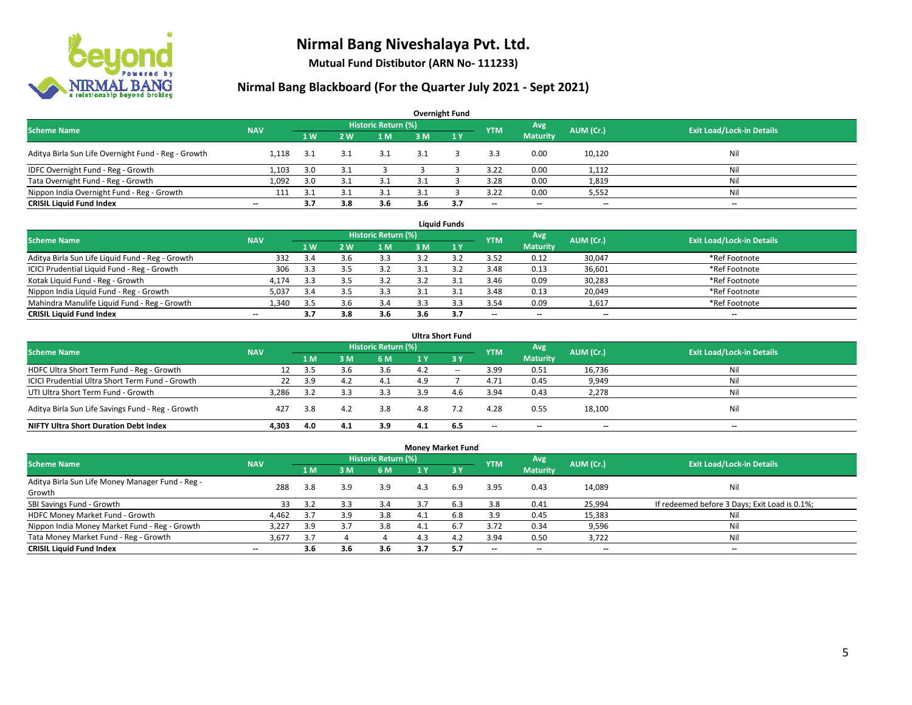

**Mutual Fund Distibutor (ARN No- 111233)**

### **Nirmal Bang Blackboard (For the Quarter July 2021 - Sept 2021)**

| <b>Overnight Fund</b>                               |                          |     |     |                            |     |     |            |                 |           |                                  |  |  |  |
|-----------------------------------------------------|--------------------------|-----|-----|----------------------------|-----|-----|------------|-----------------|-----------|----------------------------------|--|--|--|
| <b>Scheme Name</b>                                  | <b>NAV</b>               |     |     | <b>Historic Return (%)</b> |     |     | <b>YTM</b> | Avg             | AUM (Cr.) | <b>Exit Load/Lock-in Details</b> |  |  |  |
|                                                     |                          | 1W  | 2 W | 1 <sub>M</sub>             | 3M  | 1Y  |            | <b>Maturity</b> |           |                                  |  |  |  |
| Aditya Birla Sun Life Overnight Fund - Reg - Growth | 1.118                    | 3.1 |     | 3.1                        | 3.1 |     | 3.3        | 0.00            | 10,120    | Nil                              |  |  |  |
| IDFC Overnight Fund - Reg - Growth                  | 1,103                    | 3.0 |     |                            |     |     | 3.22       | 0.00            | 1,112     | Nil                              |  |  |  |
| Tata Overnight Fund - Reg - Growth                  | 1,092                    | 3.0 |     |                            |     |     | 3.28       | 0.00            | 1,819     | Nil                              |  |  |  |
| Nippon India Overnight Fund - Reg - Growth          | 111                      | 3.1 |     |                            |     |     | 3.22       | 0.00            | 5,552     | Nil                              |  |  |  |
| <b>CRISIL Liquid Fund Index</b>                     | $\overline{\phantom{a}}$ | 3.7 | 3.8 | 3.6                        | 3.6 | 3.7 | $- -$      | $- -$           | $- -$     | $\overline{\phantom{a}}$         |  |  |  |

| <b>Liquid Funds</b>                              |            |     |     |                     |     |     |                          |                          |           |                                  |  |  |  |
|--------------------------------------------------|------------|-----|-----|---------------------|-----|-----|--------------------------|--------------------------|-----------|----------------------------------|--|--|--|
| <b>Scheme Name</b>                               | <b>NAV</b> |     |     | Historic Return (%) |     |     | <b>YTM</b>               | Avg                      | AUM (Cr.) | <b>Exit Load/Lock-in Details</b> |  |  |  |
|                                                  |            | 1W  | 2 W | 1 M                 | 3 M |     |                          | <b>Maturity</b>          |           |                                  |  |  |  |
| Aditya Birla Sun Life Liquid Fund - Reg - Growth | 332        | 3.4 |     | 3.3                 |     |     | 3.52                     | 0.12                     | 30,047    | *Ref Footnote                    |  |  |  |
| ICICI Prudential Liquid Fund - Reg - Growth      | 306        | 3.3 |     | 3.2                 |     |     | 3.48                     | 0.13                     | 36,601    | *Ref Footnote                    |  |  |  |
| Kotak Liquid Fund - Reg - Growth                 | 4,174      | 3.3 |     | 3.2                 |     |     | 3.46                     | 0.09                     | 30,283    | *Ref Footnote                    |  |  |  |
| Nippon India Liquid Fund - Reg - Growth          | 5,037      | 3.4 |     | 3.3                 |     |     | 3.48                     | 0.13                     | 20,049    | *Ref Footnote                    |  |  |  |
| Mahindra Manulife Liquid Fund - Reg - Growth     | l.340      | 3.5 |     | 3.4                 |     |     | 3.54                     | 0.09                     | 1,617     | *Ref Footnote                    |  |  |  |
| <b>CRISIL Liquid Fund Index</b>                  | $- -$      | 3.7 | 3.8 | 3.6                 | 3.6 | 3.7 | $\overline{\phantom{a}}$ | $\overline{\phantom{a}}$ | $- -$     | $\overline{\phantom{a}}$         |  |  |  |

|                                                   |            |     |     |                            |                | <b>Ultra Short Fund</b> |                          |                          |                          |                                  |
|---------------------------------------------------|------------|-----|-----|----------------------------|----------------|-------------------------|--------------------------|--------------------------|--------------------------|----------------------------------|
| <b>Scheme Name</b>                                | <b>NAV</b> |     |     | <b>Historic Return (%)</b> |                |                         | <b>YTM</b>               | Avg                      | AUM (Cr.)                | <b>Exit Load/Lock-in Details</b> |
|                                                   |            | 1 M | ١M  | 6 M                        | 4 <sup>Y</sup> | $\overline{3}$ Y        |                          | <b>Maturity</b>          |                          |                                  |
| HDFC Ultra Short Term Fund - Reg - Growth         |            | 3.5 |     | 3.6                        | 4.2            | $- -$                   | 3.99                     | 0.51                     | 16,736                   | Nil                              |
| ICICI Prudential Ultra Short Term Fund - Growth   | 22         | 3.9 | 4.2 | 4.1                        | 4.9            |                         | 4.71                     | 0.45                     | 9,949                    | Nil                              |
| UTI Ultra Short Term Fund - Growth                | 3.286      | 3.2 |     | 3.3                        | 3.9            | 4.6                     | 3.94                     | 0.43                     | 2,278                    | Nil                              |
| Aditya Birla Sun Life Savings Fund - Reg - Growth | 427        | 3.8 | 4.2 | 3.8                        | 4.8            |                         | 4.28                     | 0.55                     | 18,100                   | Nil                              |
| <b>NIFTY Ultra Short Duration Debt Index</b>      | 4.303      | 4.0 | 4.1 | 3.9                        | 4.1            | 6.5                     | $\overline{\phantom{a}}$ | $\overline{\phantom{a}}$ | $\overline{\phantom{a}}$ | $-$                              |

| <b>Money Market Fund</b>                         |            |     |     |                     |     |                 |            |                          |                          |                                               |  |  |  |  |
|--------------------------------------------------|------------|-----|-----|---------------------|-----|-----------------|------------|--------------------------|--------------------------|-----------------------------------------------|--|--|--|--|
| <b>Scheme Name</b>                               | <b>NAV</b> |     |     | Historic Return (%) |     |                 | <b>YTM</b> | Avg                      | AUM (Cr.)                | <b>Exit Load/Lock-in Details</b>              |  |  |  |  |
|                                                  |            | 7 M | 3 M | 6 M                 | 1 Y | $\overline{3V}$ |            | <b>Maturity</b>          |                          |                                               |  |  |  |  |
| Aditya Birla Sun Life Money Manager Fund - Reg - | 288        | 3.8 | 3.9 | 3.9                 | 4.3 | 6.9             | 3.95       | 0.43                     | 14,089                   | Nil                                           |  |  |  |  |
| Growth                                           |            |     |     |                     |     |                 |            |                          |                          |                                               |  |  |  |  |
| SBI Savings Fund - Growth                        | 33         | 3.2 | 3.3 | 3.4                 | 3.7 | 6.3             | 3.8        | 0.41                     | 25,994                   | If redeemed before 3 Days; Exit Load is 0.1%; |  |  |  |  |
| HDFC Money Market Fund - Growth                  | 4,462      | 3.7 | 3.9 | 3.8                 | 4.1 | 6.8             | 3.9        | 0.45                     | 15,383                   | Nil                                           |  |  |  |  |
| Nippon India Money Market Fund - Reg - Growth    | 3,227      | 3.9 |     | 3.8                 | 4.1 | 6.7             | 3.72       | 0.34                     | 9,596                    | Nil                                           |  |  |  |  |
| Tata Money Market Fund - Reg - Growth            | 3.677      | 3.7 |     |                     | 4.3 | 4.2             | 3.94       | 0.50                     | 3,722                    | Nil                                           |  |  |  |  |
| <b>CRISIL Liquid Fund Index</b>                  | $- -$      | 3.6 | 3.6 | 3.6                 | 3.7 | -5.7            | --         | $\overline{\phantom{a}}$ | $\overline{\phantom{a}}$ | $-$                                           |  |  |  |  |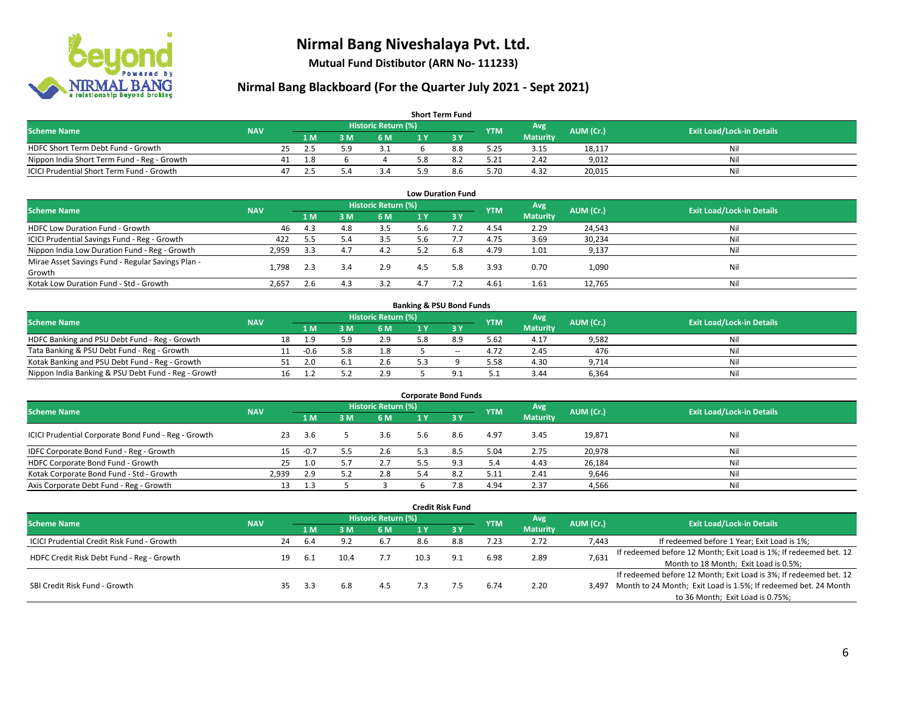

**Mutual Fund Distibutor (ARN No- 111233)**

### **Nirmal Bang Blackboard (For the Quarter July 2021 - Sept 2021)**

| <b>Short Term Fund</b>                           |            |    |     |    |                            |  |     |            |                 |           |                                  |  |  |  |
|--------------------------------------------------|------------|----|-----|----|----------------------------|--|-----|------------|-----------------|-----------|----------------------------------|--|--|--|
| <b>Scheme Name</b>                               | <b>NAV</b> |    |     |    | <b>Historic Return (%)</b> |  |     | <b>YTM</b> | Avg \           | AUM (Cr.) | <b>Exit Load/Lock-in Details</b> |  |  |  |
|                                                  |            |    | 1 M | ΒM | 6 M                        |  |     |            | <b>Maturity</b> |           |                                  |  |  |  |
| HDFC Short Term Debt Fund - Growth               |            | 25 |     | 50 |                            |  | 8.8 | 5.25       | 3.15            | 18,117    | Nil                              |  |  |  |
| Nippon India Short Term Fund - Reg - Growth      |            | 41 | 1.8 |    |                            |  |     | 5.21       | 2.42            | 9.012     | Nil                              |  |  |  |
| <b>ICICI Prudential Short Term Fund - Growth</b> |            | 47 |     |    | 3.4                        |  | 8.6 | 5.70       | 4.32            | 20,015    | Nil                              |  |  |  |

| <b>Low Duration Fund</b>                          |            |     |     |                            |     |      |            |                 |           |                                  |  |  |  |
|---------------------------------------------------|------------|-----|-----|----------------------------|-----|------|------------|-----------------|-----------|----------------------------------|--|--|--|
| <b>Scheme Name</b>                                | <b>NAV</b> |     |     | <b>Historic Return (%)</b> |     |      | <b>YTM</b> | Avg             | AUM (Cr.) | <b>Exit Load/Lock-in Details</b> |  |  |  |
|                                                   |            | 1 M | 3 M | 6 M                        |     | -3 Y |            | <b>Maturity</b> |           |                                  |  |  |  |
| HDFC Low Duration Fund - Growth                   | 46         | 4.3 | 4.8 | 3.5                        | 5.6 |      | 4.54       | 2.29            | 24,543    | Nil                              |  |  |  |
| ICICI Prudential Savings Fund - Reg - Growth      | 422        | 5.5 |     | 3.5                        | 5.6 |      | 4.75       | 3.69            | 30,234    | Nil                              |  |  |  |
| Nippon India Low Duration Fund - Reg - Growth     | 2,959      | 3.3 | 4.7 | 4.2                        | 5.2 | 6.8  | 4.79       | 1.01            | 9,137     | Nil                              |  |  |  |
| Mirae Asset Savings Fund - Regular Savings Plan - |            |     |     | 2.9                        |     | 5.8  |            |                 |           | Nil                              |  |  |  |
| Growth                                            | 1.798      | 2.3 |     |                            | 4.5 |      | 3.93       | 0.70            | 1,090     |                                  |  |  |  |
| Kotak Low Duration Fund - Std - Growth            | 2,657      | 2.6 | 4.3 | 3.2                        | 47  |      | 4.61       | 1.61            | 12,765    | Nil                              |  |  |  |

| <b>Banking &amp; PSU Bond Funds</b>                 |            |  |        |     |                     |  |       |            |                 |           |                                  |  |  |  |
|-----------------------------------------------------|------------|--|--------|-----|---------------------|--|-------|------------|-----------------|-----------|----------------------------------|--|--|--|
| <b>Scheme Name</b>                                  | <b>NAV</b> |  |        |     | Historic Return (%) |  |       | <b>YTM</b> | Avg             | AUM (Cr.) | <b>Exit Load/Lock-in Details</b> |  |  |  |
|                                                     |            |  | 4 M.   | ያ M | 6 M                 |  |       |            | <b>Maturity</b> |           |                                  |  |  |  |
| HDFC Banking and PSU Debt Fund - Reg - Growth       |            |  | 1.9    | 59  | 2.9                 |  | 8.9   | 5.62       | 4.17            | 9,582     | Nil                              |  |  |  |
| Tata Banking & PSU Debt Fund - Reg - Growth         |            |  | $-0.6$ | 5.8 | 1.8                 |  | $- -$ | 4.72       | 2.45            | 476       | Nil                              |  |  |  |
| Kotak Banking and PSU Debt Fund - Reg - Growth      |            |  | 2.0    |     | 2.6                 |  |       | 5.58       | 4.30            | 9.714     | Nil                              |  |  |  |
| Nippon India Banking & PSU Debt Fund - Reg - Growth |            |  |        |     | 2.9                 |  |       |            | 3.44            | 6.364     | Nil                              |  |  |  |

| <b>Corporate Bond Funds</b>                         |            |        |     |                            |                |     |            |                 |           |                                  |  |  |  |  |
|-----------------------------------------------------|------------|--------|-----|----------------------------|----------------|-----|------------|-----------------|-----------|----------------------------------|--|--|--|--|
| <b>Scheme Name</b>                                  | <b>NAV</b> |        |     | <b>Historic Return (%)</b> |                |     | <b>YTM</b> | Avg             | AUM (Cr.) | <b>Exit Load/Lock-in Details</b> |  |  |  |  |
|                                                     |            | 1 M    | 3 M | 6 M                        |                | 3 Y |            | <b>Maturity</b> |           |                                  |  |  |  |  |
| ICICI Prudential Corporate Bond Fund - Reg - Growth | 23         | 3.6    |     | 3.6                        | 5.6            | 8.6 | 4.97       | 3.45            | 19,871    | Nil                              |  |  |  |  |
| IDFC Corporate Bond Fund - Reg - Growth             | 15.        | $-0.7$ |     | 2.6                        | 5.3            | 8.5 | 5.04       | 2.75            | 20,978    | Nil                              |  |  |  |  |
| HDFC Corporate Bond Fund - Growth                   | 25         | 1.0    |     | 2.7                        |                |     | 5.4        | 4.43            | 26,184    | Nil                              |  |  |  |  |
| Kotak Corporate Bond Fund - Std - Growth            | 2.939      | 2.9    |     | 2.8                        | $\overline{4}$ | 8.2 | 5.11       | 2.41            | 9,646     | Nil                              |  |  |  |  |
| Axis Corporate Debt Fund - Reg - Growth             | 13         |        |     |                            |                |     | 4.94       | 2.37            | 4,566     | Nil                              |  |  |  |  |

|                                                   |            |    |      |      |                            |      | <b>Credit Risk Fund</b> |            |                 |           |                                                                       |
|---------------------------------------------------|------------|----|------|------|----------------------------|------|-------------------------|------------|-----------------|-----------|-----------------------------------------------------------------------|
| <b>Scheme Name</b>                                | <b>NAV</b> |    |      |      | <b>Historic Return (%)</b> |      |                         |            | Avg             | AUM (Cr.) | <b>Exit Load/Lock-in Details</b>                                      |
|                                                   |            |    | 1 M  | : M  | 6 M                        | 1 Y  | 3Y                      | <b>YTM</b> | <b>Maturity</b> |           |                                                                       |
| <b>ICICI Prudential Credit Risk Fund - Growth</b> |            | 24 | -6.4 | 9.2  | 6.7                        | 8.6  | 8.8                     | 7.23       | 2.72            | 7,443     | If redeemed before 1 Year; Exit Load is 1%;                           |
| HDFC Credit Risk Debt Fund - Reg - Growth         |            | 19 | 6.1  | 10.4 | 7.7                        | 10.3 | 9.1                     | 6.98       | 2.89            | 7,631     | If redeemed before 12 Month; Exit Load is 1%; If redeemed bet. 12     |
|                                                   |            |    |      |      |                            |      |                         |            |                 |           | Month to 18 Month; Exit Load is 0.5%;                                 |
|                                                   |            |    |      |      |                            |      |                         |            |                 |           | If redeemed before 12 Month; Exit Load is 3%; If redeemed bet. 12     |
| SBI Credit Risk Fund - Growth                     |            | 35 | -3.3 | 6.8  | 4.5                        |      |                         | 6.74       | 2.20            |           | 3,497 Month to 24 Month; Exit Load is 1.5%; If redeemed bet. 24 Month |
|                                                   |            |    |      |      |                            |      |                         |            |                 |           | to 36 Month; Exit Load is 0.75%;                                      |